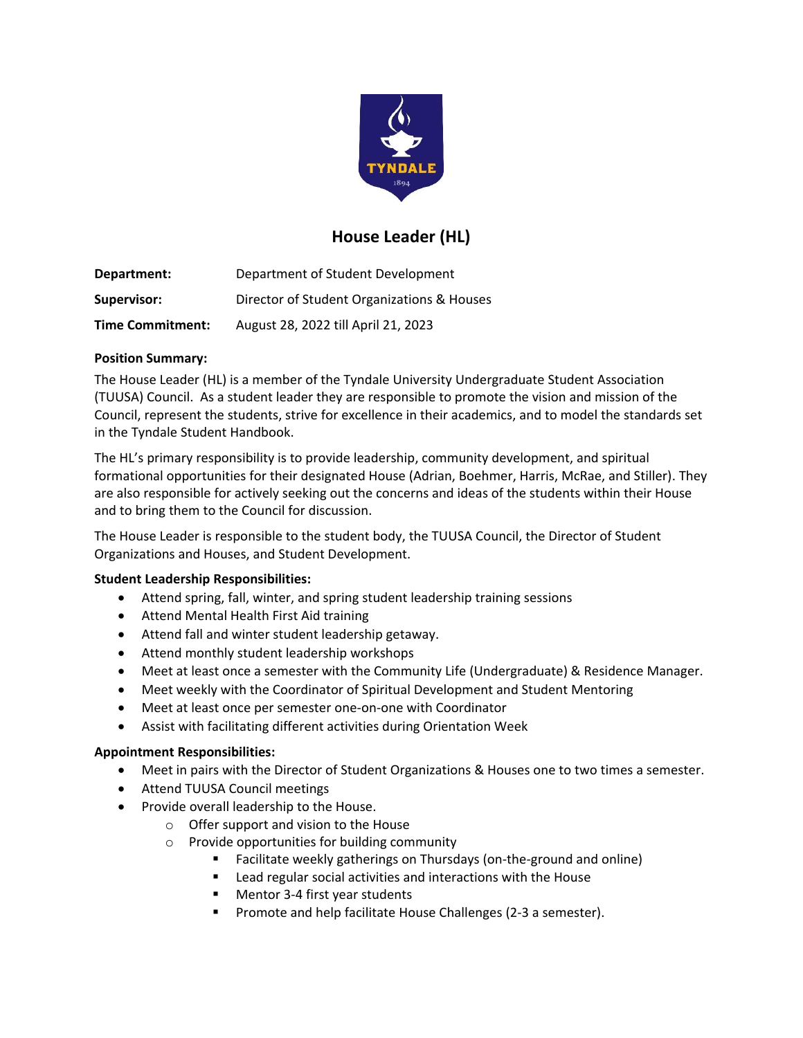

# **House Leader (HL)**

**Department:** Department of Student Development **Supervisor:** Director of Student Organizations & Houses **Time Commitment:** August 28, 2022 till April 21, 2023

### **Position Summary:**

The House Leader (HL) is a member of the Tyndale University Undergraduate Student Association (TUUSA) Council. As a student leader they are responsible to promote the vision and mission of the Council, represent the students, strive for excellence in their academics, and to model the standards set in the Tyndale Student Handbook.

The HL's primary responsibility is to provide leadership, community development, and spiritual formational opportunities for their designated House (Adrian, Boehmer, Harris, McRae, and Stiller). They are also responsible for actively seeking out the concerns and ideas of the students within their House and to bring them to the Council for discussion.

The House Leader is responsible to the student body, the TUUSA Council, the Director of Student Organizations and Houses, and Student Development.

#### **Student Leadership Responsibilities:**

- Attend spring, fall, winter, and spring student leadership training sessions
- Attend Mental Health First Aid training
- Attend fall and winter student leadership getaway.
- Attend monthly student leadership workshops
- Meet at least once a semester with the Community Life (Undergraduate) & Residence Manager.
- Meet weekly with the Coordinator of Spiritual Development and Student Mentoring
- Meet at least once per semester one-on-one with Coordinator
- Assist with facilitating different activities during Orientation Week

#### **Appointment Responsibilities:**

- Meet in pairs with the Director of Student Organizations & Houses one to two times a semester.
- Attend TUUSA Council meetings
- Provide overall leadership to the House.
	- o Offer support and vision to the House
	- o Provide opportunities for building community
		- Facilitate weekly gatherings on Thursdays (on-the-ground and online)
		- **EXECTE 2018** Lead regular social activities and interactions with the House
		- Mentor 3-4 first year students
		- Promote and help facilitate House Challenges (2-3 a semester).